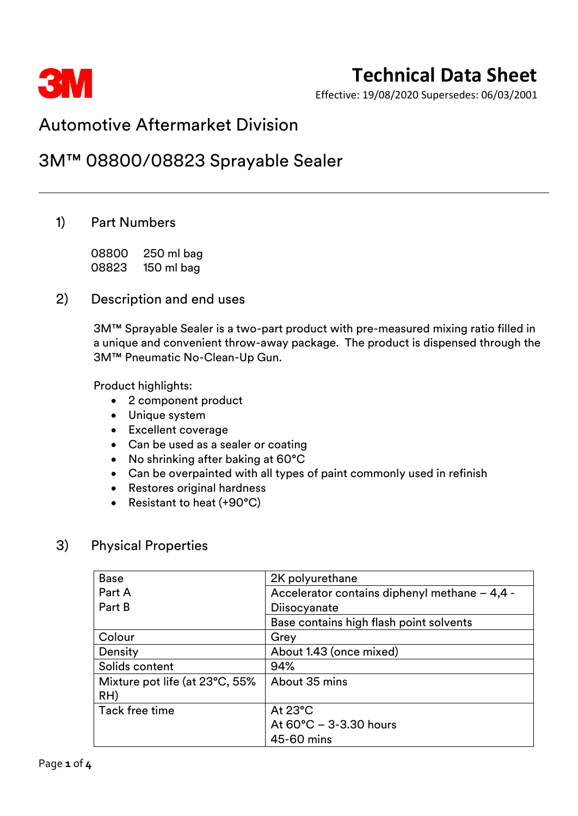

Effective: 19/08/2020 Supersedes: 06/03/2001

### Automotive Aftermarket Division

### 3M™ 08800/08823 Sprayable Sealer

### 1) Part Numbers

08800 250 ml bag 08823 150 ml bag

#### 2) Description and end uses

3M™ Sprayable Sealer is a two-part product with pre-measured mixing ratio filled in a unique and convenient throw-away package. The product is dispensed through the 3M™ Pneumatic No-Clean-Up Gun.

Product highlights:

- 2 component product
- Unique system
- Excellent coverage
- Can be used as a sealer or coating
- No shrinking after baking at 60°C
- Can be overpainted with all types of paint commonly used in refinish
- Restores original hardness
- Resistant to heat (+90°C)

### 3) Physical Properties

| <b>Base</b>                    | 2K polyurethane                               |  |
|--------------------------------|-----------------------------------------------|--|
| Part A                         | Accelerator contains diphenyl methane - 4,4 - |  |
| Part B                         | Diisocyanate                                  |  |
|                                | Base contains high flash point solvents       |  |
| Colour                         | Grey                                          |  |
| Density                        | About 1.43 (once mixed)                       |  |
| Solids content                 | 94%                                           |  |
| Mixture pot life (at 23°C, 55% | About 35 mins                                 |  |
| RH)                            |                                               |  |
| Tack free time                 | At $23^{\circ}$ C                             |  |
|                                | At 60°C - 3-3.30 hours                        |  |
|                                | 45-60 mins                                    |  |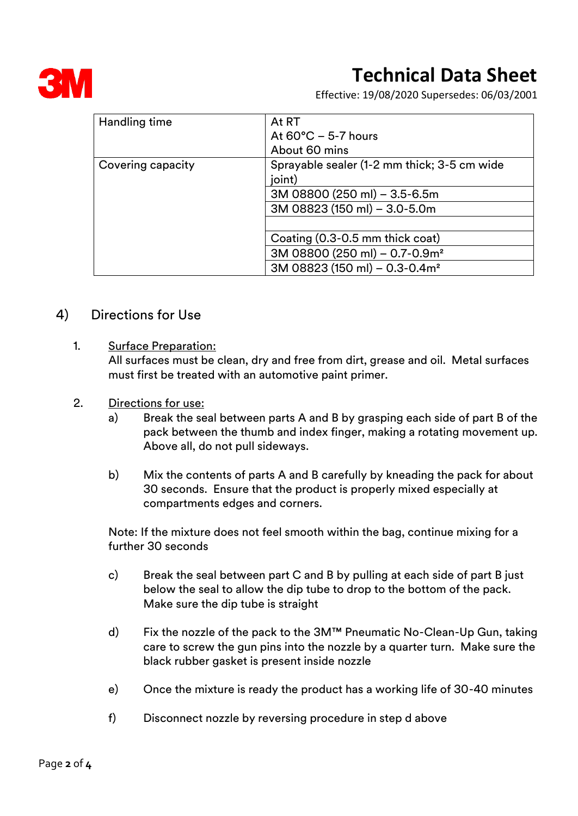

Effective: 19/08/2020 Supersedes: 06/03/2001

| Handling time     | At RT                                       |  |  |
|-------------------|---------------------------------------------|--|--|
|                   | At $60^{\circ}$ C – 5-7 hours               |  |  |
|                   | About 60 mins                               |  |  |
| Covering capacity | Sprayable sealer (1-2 mm thick; 3-5 cm wide |  |  |
|                   | joint)                                      |  |  |
|                   | 3M 08800 (250 ml) - 3.5-6.5m                |  |  |
|                   | 3M 08823 (150 ml) - 3.0-5.0m                |  |  |
|                   |                                             |  |  |
|                   | Coating (0.3-0.5 mm thick coat)             |  |  |
|                   | 3M 08800 (250 ml) - 0.7-0.9m <sup>2</sup>   |  |  |
|                   | 3M 08823 (150 ml) - 0.3-0.4m <sup>2</sup>   |  |  |

#### 4) Directions for Use

1. Surface Preparation:

All surfaces must be clean, dry and free from dirt, grease and oil. Metal surfaces must first be treated with an automotive paint primer.

- 2. Directions for use:
	- a) Break the seal between parts A and B by grasping each side of part B of the pack between the thumb and index finger, making a rotating movement up. Above all, do not pull sideways.
	- b) Mix the contents of parts A and B carefully by kneading the pack for about 30 seconds. Ensure that the product is properly mixed especially at compartments edges and corners.

Note: If the mixture does not feel smooth within the bag, continue mixing for a further 30 seconds

- c) Break the seal between part C and B by pulling at each side of part B just below the seal to allow the dip tube to drop to the bottom of the pack. Make sure the dip tube is straight
- d) Fix the nozzle of the pack to the 3M™ Pneumatic No-Clean-Up Gun, taking care to screw the gun pins into the nozzle by a quarter turn. Make sure the black rubber gasket is present inside nozzle
- e) Once the mixture is ready the product has a working life of 30-40 minutes
- f) Disconnect nozzle by reversing procedure in step d above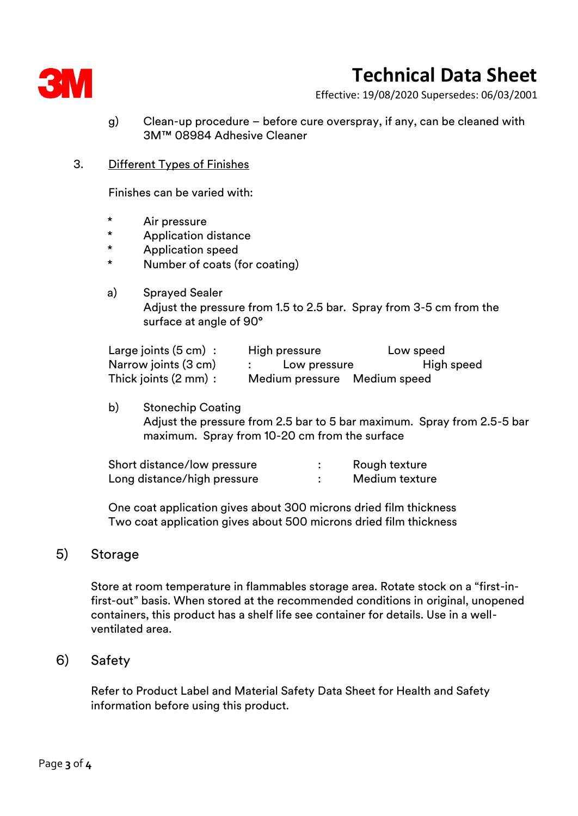

Effective: 19/08/2020 Supersedes: 06/03/2001

- g) Clean-up procedure before cure overspray, if any, can be cleaned with 3M™ 08984 Adhesive Cleaner
- 3. Different Types of Finishes

Finishes can be varied with:

- \* Air pressure
- \* Application distance
- \* Application speed
- Number of coats (for coating)
- a) Sprayed Sealer Adjust the pressure from 1.5 to 2.5 bar. Spray from 3-5 cm from the surface at angle of 90°

| Large joints $(5 \text{ cm})$ : | High pressure                | Low speed  |
|---------------------------------|------------------------------|------------|
| Narrow joints (3 cm)            | : Low pressure               | High speed |
| Thick joints (2 mm):            | Medium pressure Medium speed |            |

b) Stonechip Coating Adjust the pressure from 2.5 bar to 5 bar maximum. Spray from 2.5-5 bar maximum. Spray from 10-20 cm from the surface

| Short distance/low pressure | Rough texture  |
|-----------------------------|----------------|
| Long distance/high pressure | Medium texture |

One coat application gives about 300 microns dried film thickness Two coat application gives about 500 microns dried film thickness

#### 5) Storage

Store at room temperature in flammables storage area. Rotate stock on a "first-infirst-out" basis. When stored at the recommended conditions in original, unopened containers, this product has a shelf life see container for details. Use in a wellventilated area.

#### 6) Safety

Refer to Product Label and Material Safety Data Sheet for Health and Safety information before using this product.